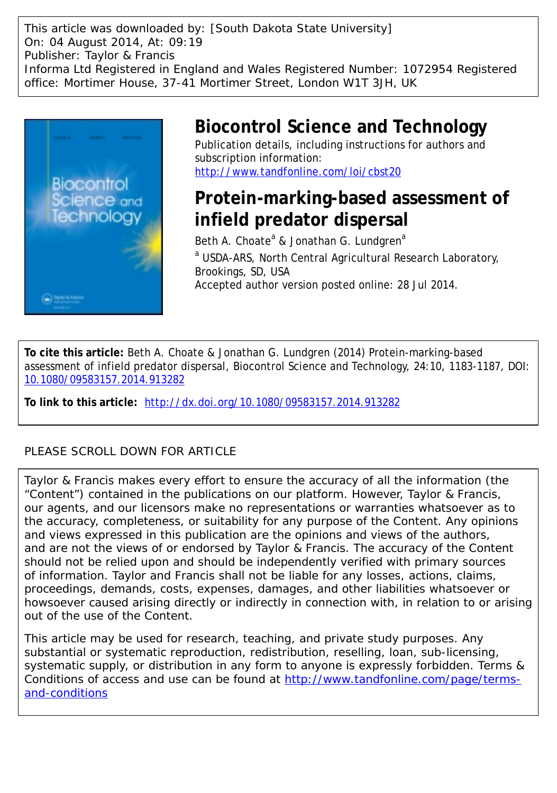This article was downloaded by: [South Dakota State University] On: 04 August 2014, At: 09:19 Publisher: Taylor & Francis Informa Ltd Registered in England and Wales Registered Number: 1072954 Registered office: Mortimer House, 37-41 Mortimer Street, London W1T 3JH, UK



# **Biocontrol Science and Technology**

Publication details, including instructions for authors and subscription information: <http://www.tandfonline.com/loi/cbst20>

# **Protein-marking-based assessment of infield predator dispersal**

Beth A. Choate<sup>a</sup> & Jonathan G. Lundgren<sup>a</sup> a USDA-ARS, North Central Agricultural Research Laboratory, Brookings, SD, USA Accepted author version posted online: 28 Jul 2014.

**To cite this article:** Beth A. Choate & Jonathan G. Lundgren (2014) Protein-marking-based assessment of infield predator dispersal, Biocontrol Science and Technology, 24:10, 1183-1187, DOI: [10.1080/09583157.2014.913282](http://www.tandfonline.com/action/showCitFormats?doi=10.1080/09583157.2014.913282)

**To link to this article:** <http://dx.doi.org/10.1080/09583157.2014.913282>

### PLEASE SCROLL DOWN FOR ARTICLE

Taylor & Francis makes every effort to ensure the accuracy of all the information (the "Content") contained in the publications on our platform. However, Taylor & Francis, our agents, and our licensors make no representations or warranties whatsoever as to the accuracy, completeness, or suitability for any purpose of the Content. Any opinions and views expressed in this publication are the opinions and views of the authors, and are not the views of or endorsed by Taylor & Francis. The accuracy of the Content should not be relied upon and should be independently verified with primary sources of information. Taylor and Francis shall not be liable for any losses, actions, claims, proceedings, demands, costs, expenses, damages, and other liabilities whatsoever or howsoever caused arising directly or indirectly in connection with, in relation to or arising out of the use of the Content.

This article may be used for research, teaching, and private study purposes. Any substantial or systematic reproduction, redistribution, reselling, loan, sub-licensing, systematic supply, or distribution in any form to anyone is expressly forbidden. Terms & Conditions of access and use can be found at [http://www.tandfonline.com/page/terms](http://www.tandfonline.com/page/terms-and-conditions)[and-conditions](http://www.tandfonline.com/page/terms-and-conditions)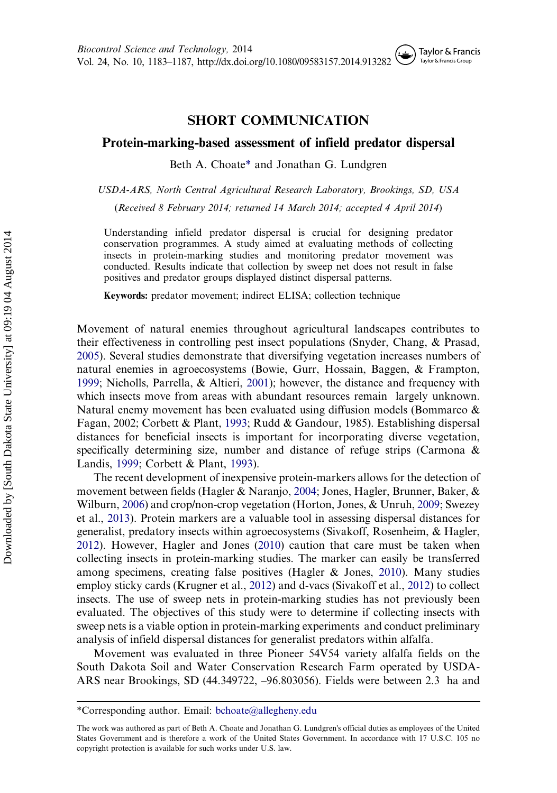### SHORT COMMUNICATION

#### Protein-marking-based assessment of infield predator dispersal

Beth A. Choate\* and Jonathan G. Lundgren

USDA-ARS, North Central Agricultural Research Laboratory, Brookings, SD, USA

(Received 8 February 2014; returned 14 March 2014; accepted 4 April 2014)

Understanding infield predator dispersal is crucial for designing predator conservation programmes. A study aimed at evaluating methods of collecting insects in protein-marking studies and monitoring predator movement was conducted. Results indicate that collection by sweep net does not result in false positives and predator groups displayed distinct dispersal patterns.

Keywords: predator movement; indirect ELISA; collection technique

Movement of natural enemies throughout agricultural landscapes contributes to their effectiveness in controlling pest insect populations (Snyder, Chang, & Prasad, [2005\)](#page-5-0). Several studies demonstrate that diversifying vegetation increases numbers of natural enemies in agroecosystems (Bowie, Gurr, Hossain, Baggen, & Frampton, [1999;](#page-4-0) Nicholls, Parrella, & Altieri, [2001\)](#page-5-0); however, the distance and frequency with which insects move from areas with abundant resources remain largely unknown. Natural enemy movement has been evaluated using diffusion models (Bommarco & Fagan, 2002; Corbett & Plant, [1993](#page-5-0); Rudd & Gandour, 1985). Establishing dispersal distances for beneficial insects is important for incorporating diverse vegetation, specifically determining size, number and distance of refuge strips (Carmona & Landis, [1999;](#page-5-0) Corbett & Plant, [1993](#page-5-0)).

The recent development of inexpensive protein-markers allows for the detection of movement between fields (Hagler & Naranjo, [2004](#page-5-0); Jones, Hagler, Brunner, Baker, & Wilburn, [2006](#page-5-0)) and crop/non-crop vegetation (Horton, Jones, & Unruh, [2009;](#page-5-0) Swezey et al., [2013](#page-5-0)). Protein markers are a valuable tool in assessing dispersal distances for generalist, predatory insects within agroecosystems (Sivakoff, Rosenheim, & Hagler, [2012\)](#page-5-0). However, Hagler and Jones ([2010\)](#page-5-0) caution that care must be taken when collecting insects in protein-marking studies. The marker can easily be transferred among specimens, creating false positives (Hagler & Jones, [2010\)](#page-5-0). Many studies employ sticky cards (Krugner et al., [2012\)](#page-5-0) and d-vacs (Sivakoff et al., [2012](#page-5-0)) to collect insects. The use of sweep nets in protein-marking studies has not previously been evaluated. The objectives of this study were to determine if collecting insects with sweep nets is a viable option in protein-marking experiments and conduct preliminary analysis of infield dispersal distances for generalist predators within alfalfa.

Movement was evaluated in three Pioneer 54V54 variety alfalfa fields on the South Dakota Soil and Water Conservation Research Farm operated by USDA-ARS near Brookings, SD (44.349722, –96.803056). Fields were between 2.3 ha and

<sup>\*</sup>Corresponding author. Email: [bchoate@allegheny.edu](mailto:bchoate@allegheny.edu)

The work was authored as part of Beth A. Choate and Jonathan G. Lundgren's official duties as employees of the United States Government and is therefore a work of the United States Government. In accordance with 17 U.S.C. 105 no copyright protection is available for such works under U.S. law.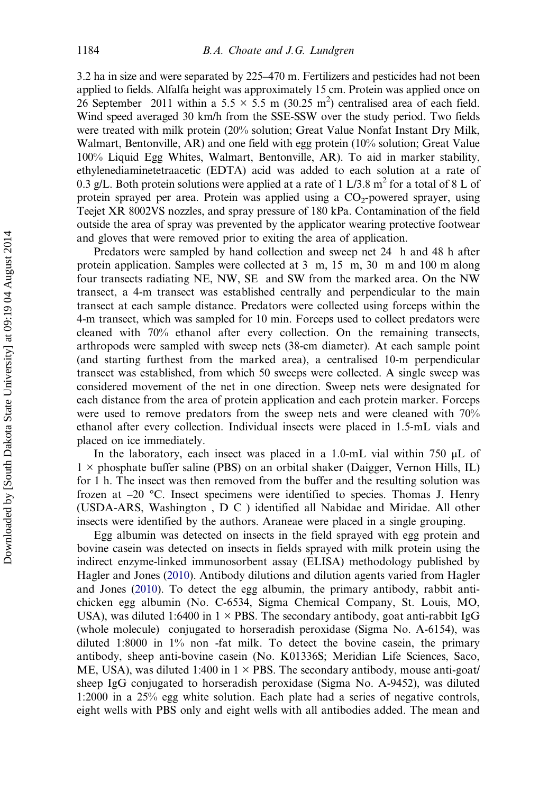3.2 ha in size and were separated by 225–470 m. Fertilizers and pesticides had not been applied to fields. Alfalfa height was approximately 15 cm. Protein was applied once on 26 September 2011 within a 5.5  $\times$  5.5 m (30.25 m<sup>2</sup>) centralised area of each field. Wind speed averaged 30 km/h from the SSE-SSW over the study period. Two fields were treated with milk protein (20% solution; Great Value Nonfat Instant Dry Milk, Walmart, Bentonville, AR) and one field with egg protein (10% solution; Great Value 100% Liquid Egg Whites, Walmart, Bentonville, AR). To aid in marker stability, ethylenediaminetetraacetic (EDTA) acid was added to each solution at a rate of 0.3 g/L. Both protein solutions were applied at a rate of 1 L/3.8  $m<sup>2</sup>$  for a total of 8 L of protein sprayed per area. Protein was applied using a  $CO_2$ -powered sprayer, using Teejet XR 8002VS nozzles, and spray pressure of 180 kPa. Contamination of the field outside the area of spray was prevented by the applicator wearing protective footwear and gloves that were removed prior to exiting the area of application.

Predators were sampled by hand collection and sweep net 24 h and 48 h after protein application. Samples were collected at 3 m, 15 m, 30 m and 100 m along four transects radiating NE, NW, SE and SW from the marked area. On the NW transect, a 4-m transect was established centrally and perpendicular to the main transect at each sample distance. Predators were collected using forceps within the 4-m transect, which was sampled for 10 min. Forceps used to collect predators were cleaned with 70% ethanol after every collection. On the remaining transects, arthropods were sampled with sweep nets (38-cm diameter). At each sample point (and starting furthest from the marked area), a centralised 10-m perpendicular transect was established, from which 50 sweeps were collected. A single sweep was considered movement of the net in one direction. Sweep nets were designated for each distance from the area of protein application and each protein marker. Forceps were used to remove predators from the sweep nets and were cleaned with 70% ethanol after every collection. Individual insects were placed in 1.5-mL vials and placed on ice immediately.

In the laboratory, each insect was placed in a 1.0-mL vial within 750 μL of 1 × phosphate buffer saline (PBS) on an orbital shaker (Daigger, Vernon Hills, IL) for 1 h. The insect was then removed from the buffer and the resulting solution was frozen at –20 °C. Insect specimens were identified to species. Thomas J. Henry (USDA-ARS, Washington , D C ) identified all Nabidae and Miridae. All other insects were identified by the authors. Araneae were placed in a single grouping.

Egg albumin was detected on insects in the field sprayed with egg protein and bovine casein was detected on insects in fields sprayed with milk protein using the indirect enzyme-linked immunosorbent assay (ELISA) methodology published by Hagler and Jones [\(2010\)](#page-5-0). Antibody dilutions and dilution agents varied from Hagler and Jones ([2010](#page-5-0)). To detect the egg albumin, the primary antibody, rabbit antichicken egg albumin (No. C-6534, Sigma Chemical Company, St. Louis, MO, USA), was diluted 1:6400 in  $1 \times$  PBS. The secondary antibody, goat anti-rabbit IgG (whole molecule) conjugated to horseradish peroxidase (Sigma No. A-6154), was diluted 1:8000 in 1% non -fat milk. To detect the bovine casein, the primary antibody, sheep anti-bovine casein (No. K01336S; Meridian Life Sciences, Saco, ME, USA), was diluted 1:400 in  $1 \times$  PBS. The secondary antibody, mouse anti-goat/ sheep IgG conjugated to horseradish peroxidase (Sigma No. A-9452), was diluted 1:2000 in a 25% egg white solution. Each plate had a series of negative controls, eight wells with PBS only and eight wells with all antibodies added. The mean and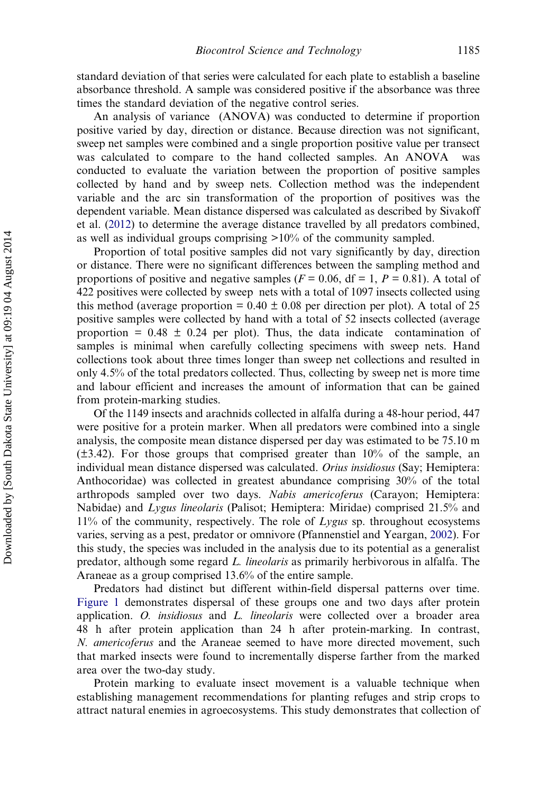standard deviation of that series were calculated for each plate to establish a baseline absorbance threshold. A sample was considered positive if the absorbance was three times the standard deviation of the negative control series.

An analysis of variance (ANOVA) was conducted to determine if proportion positive varied by day, direction or distance. Because direction was not significant, sweep net samples were combined and a single proportion positive value per transect was calculated to compare to the hand collected samples. An ANOVA was conducted to evaluate the variation between the proportion of positive samples collected by hand and by sweep nets. Collection method was the independent variable and the arc sin transformation of the proportion of positives was the dependent variable. Mean distance dispersed was calculated as described by Sivakoff et al. [\(2012](#page-5-0)) to determine the average distance travelled by all predators combined, as well as individual groups comprising >10% of the community sampled.

Proportion of total positive samples did not vary significantly by day, direction or distance. There were no significant differences between the sampling method and proportions of positive and negative samples ( $F = 0.06$ , df = 1,  $P = 0.81$ ). A total of 422 positives were collected by sweep nets with a total of 1097 insects collected using this method (average proportion =  $0.40 \pm 0.08$  per direction per plot). A total of 25 positive samples were collected by hand with a total of 52 insects collected (average proportion =  $0.48 \pm 0.24$  per plot). Thus, the data indicate contamination of samples is minimal when carefully collecting specimens with sweep nets. Hand collections took about three times longer than sweep net collections and resulted in only 4.5% of the total predators collected. Thus, collecting by sweep net is more time and labour efficient and increases the amount of information that can be gained from protein-marking studies.

Of the 1149 insects and arachnids collected in alfalfa during a 48-hour period, 447 were positive for a protein marker. When all predators were combined into a single analysis, the composite mean distance dispersed per day was estimated to be 75.10 m (±3.42). For those groups that comprised greater than 10% of the sample, an individual mean distance dispersed was calculated. Orius insidiosus (Say; Hemiptera: Anthocoridae) was collected in greatest abundance comprising 30% of the total arthropods sampled over two days. Nabis americoferus (Carayon; Hemiptera: Nabidae) and Lygus lineolaris (Palisot; Hemiptera: Miridae) comprised 21.5% and  $11\%$  of the community, respectively. The role of Lygus sp. throughout ecosystems varies, serving as a pest, predator or omnivore (Pfannenstiel and Yeargan, [2002\)](#page-5-0). For this study, the species was included in the analysis due to its potential as a generalist predator, although some regard L. lineolaris as primarily herbivorous in alfalfa. The Araneae as a group comprised 13.6% of the entire sample.

Predators had distinct but different within-field dispersal patterns over time. [Figure 1](#page-4-0) demonstrates dispersal of these groups one and two days after protein application. O. insidiosus and L. lineolaris were collected over a broader area 48 h after protein application than 24 h after protein-marking. In contrast, N. americoferus and the Araneae seemed to have more directed movement, such that marked insects were found to incrementally disperse farther from the marked area over the two-day study.

Protein marking to evaluate insect movement is a valuable technique when establishing management recommendations for planting refuges and strip crops to attract natural enemies in agroecosystems. This study demonstrates that collection of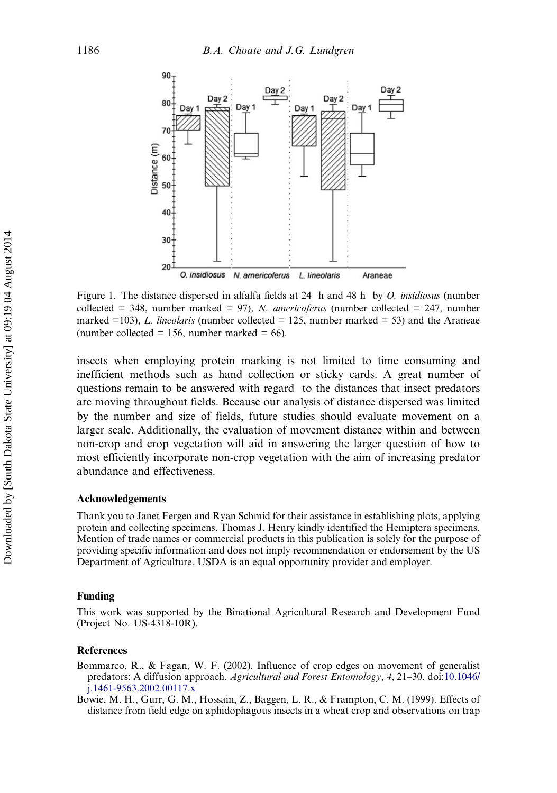<span id="page-4-0"></span>

Figure 1. The distance dispersed in alfalfa fields at 24 h and 48 h by O. insidiosus (number collected = 348, number marked = 97), N. americoferus (number collected = 247, number marked =103), L. lineolaris (number collected = 125, number marked = 53) and the Araneae (number collected = 156, number marked =  $66$ ).

insects when employing protein marking is not limited to time consuming and inefficient methods such as hand collection or sticky cards. A great number of questions remain to be answered with regard to the distances that insect predators are moving throughout fields. Because our analysis of distance dispersed was limited by the number and size of fields, future studies should evaluate movement on a larger scale. Additionally, the evaluation of movement distance within and between non-crop and crop vegetation will aid in answering the larger question of how to most efficiently incorporate non-crop vegetation with the aim of increasing predator abundance and effectiveness.

#### Acknowledgements

Thank you to Janet Fergen and Ryan Schmid for their assistance in establishing plots, applying protein and collecting specimens. Thomas J. Henry kindly identified the Hemiptera specimens. Mention of trade names or commercial products in this publication is solely for the purpose of providing specific information and does not imply recommendation or endorsement by the US Department of Agriculture. USDA is an equal opportunity provider and employer.

#### Funding

This work was supported by the Binational Agricultural Research and Development Fund (Project No. US-4318-10R).

#### **References**

Bommarco, R., & Fagan, W. F. (2002). Influence of crop edges on movement of generalist predators: A diffusion approach. Agricultural and Forest Entomology, 4, 21–30. doi[:10.1046/](http://dx.doi.org/10.1046/j.1461-9563.2002.00117.x) [j.1461-9563.2002.00117.x](http://dx.doi.org/10.1046/j.1461-9563.2002.00117.x)

Bowie, M. H., Gurr, G. M., Hossain, Z., Baggen, L. R., & Frampton, C. M. (1999). Effects of distance from field edge on aphidophagous insects in a wheat crop and observations on trap